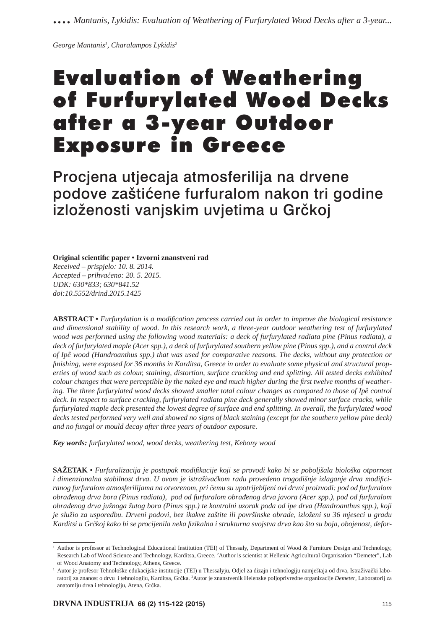*George Mantanis1 , Charalampos Lykidis2*

# Evaluation of Weathering of Furfurylated Wood Decks after a 3-year Outdoor Exposure in Greece

Procjena utjecaja atmosferilija na drvene podove zaštićene furfuralom nakon tri godine izloženosti vanjskim uvjetima u Grčkoj

**Original scientifi c paper • Izvorni znanstveni rad**

*Received – prispjelo: 10. 8. 2014. Accepted – prihvaćeno: 20. 5. 2015. UDK: 630\*833; 630\*841.52 doi:10.5552/drind.2015.1425*

**ABSTRACT** • *Furfurylation is a modification process carried out in order to improve the biological resistance and dimensional stability of wood. In this research work, a three-year outdoor weathering test of furfurylated wood was performed using the following wood materials: a deck of furfurylated radiata pine (Pinus radiata), a deck of furfurylated maple (Acer spp.), a deck of furfurylated southern yellow pine (Pinus spp.), and a control deck of Ipê wood (Handroanthus spp.) that was used for comparative reasons. The decks, without any protection or*  finishing, were exposed for 36 months in Karditsa, Greece in order to evaluate some physical and structural prop*erties of wood such as colour, staining, distortion, surface cracking and end splitting. All tested decks exhibited colour changes that were perceptible by the naked eye and much higher during the first twelve months of weathering. The three furfurylated wood decks showed smaller total colour changes as compared to those of Ipê control deck. In respect to surface cracking, furfurylated radiata pine deck generally showed minor surface cracks, while furfurylated maple deck presented the lowest degree of surface and end splitting. In overall, the furfurylated wood decks tested performed very well and showed no signs of black staining (except for the southern yellow pine deck) and no fungal or mould decay after three years of outdoor exposure.*

*Key words: furfurylated wood, wood decks, weathering test, Kebony wood*

**SAŽETAK •** *Furfuralizacija je postupak modifi kacije koji se provodi kako bi se poboljšala biološka otpornost*  i dimenzionalna stabilnost drva. U ovom je istraživačkom radu provedeno trogodišnje izlaganje drva modifici*ranog furfuralom atmosferilijama na otvorenom, pri čemu su upotrijebljeni ovi drvni proizvodi: pod od furfuralom obrađenog drva bora (Pinus radiata), pod od furfuralom obrađenog drva javora (Acer spp.), pod od furfuralom obrađenog drva južnoga žutog bora (Pinus spp.) te kontrolni uzorak poda od ipe drva (Handroanthus spp.), koji je služio za usporedbu. Drveni podovi, bez ikakve zaštite ili površinske obrade, izloženi su 36 mjeseci u gradu*  Karditsi u Grčkoj kako bi se procijenila neka fizikalna i strukturna svojstva drva kao što su boja, obojenost, defor-

<sup>&</sup>lt;sup>1</sup> Author is professor at Technological Educational Institution (TEI) of Thessaly, Department of Wood & Furniture Design and Technology, Research Lab of Wood Science and Technology, Karditsa, Greece. <sup>2</sup>Author is scientist at Hellenic Agricultural Organisation "Demeter", Lab of Wood Anatomy and Technology, Athens, Greece.

<sup>1</sup> Autor je profesor Tehnološke edukacijske institucije (TEI) u Thessalyju, Odjel za dizajn i tehnologiju namještaja od drva, Istraživački laboratorij za znanost o drvu i tehnologiju, Karditsa, Grčka. <sup>2</sup>Autor je znanstvenik Helenske poljoprivredne organizacije Demeter, Laboratorij za anatomiju drva i tehnologiju, Atena, Grčka.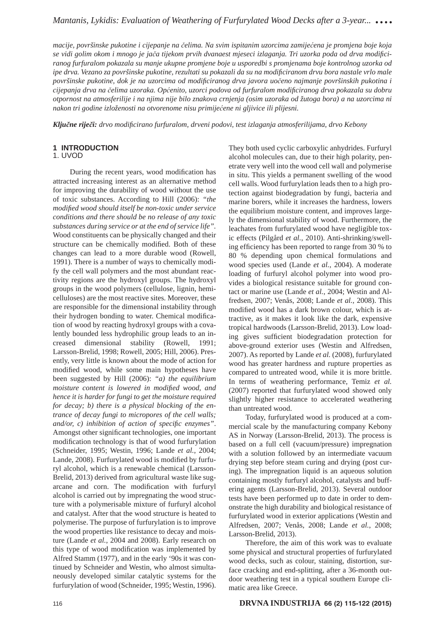*macije, površinske pukotine i cijepanje na čelima. Na svim ispitanim uzorcima zamijećena je promjena boje koja se vidi golim okom i mnogo je jača tijekom prvih dvanaest mjeseci izlaganja. Tri uzorka poda od drva modifi ciranog furfuralom pokazala su manje ukupne promjene boje u usporedbi s promjenama boje kontrolnog uzorka od ipe drva. Vezano za površinske pukotine, rezultati su pokazali da su na modifi ciranom drvu bora nastale vrlo male površinske pukotine, dok je na uzorcima od modifi ciranog drva javora uočeno najmanje površinskih pukotina i cijepanja drva na čelima uzoraka. Općenito, uzorci podova od furfuralom modifi ciranog drva pokazala su dobru otpornost na atmosferilije i na njima nije bilo znakova crnjenja (osim uzoraka od žutoga bora) a na uzorcima ni nakon tri godine izloženosti na otvorenome nisu primijećene ni gljivice ili plijesni.*

*Ključne riječi: drvo modifi cirano furfuralom, drveni podovi, test izlaganja atmosferilijama, drvo Kebony* 

## **1 INTRODUCTION**

## 1. UVOD

During the recent years, wood modification has attracted increasing interest as an alternative method for improving the durability of wood without the use of toxic substances. According to Hill (2006): *"the modifi ed wood should itself be non-toxic under service conditions and there should be no release of any toxic substances during service or at the end of service life".*  Wood constituents can be physically changed and their structure can be chemically modified. Both of these changes can lead to a more durable wood (Rowell, 1991). There is a number of ways to chemically modify the cell wall polymers and the most abundant reactivity regions are the hydroxyl groups. The hydroxyl groups in the wood polymers (cellulose, lignin, hemicelluloses) are the most reactive sites. Moreover, these are responsible for the dimensional instability through their hydrogen bonding to water. Chemical modification of wood by reacting hydroxyl groups with a covalently bounded less hydrophilic group leads to an increased dimensional stability (Rowell, 1991; Larsson-Brelid, 1998; Rowell, 2005; Hill, 2006). Presently, very little is known about the mode of action for modified wood, while some main hypotheses have been suggested by Hill (2006): *"a) the equilibrium moisture content is lowered in modified wood, and hence it is harder for fungi to get the moisture required for decay; b) there is a physical blocking of the entrance of decay fungi to micropores of the cell walls; and/or, c) inhibition of action of specific enzymes".* Amongst other significant technologies, one important modification technology is that of wood furfurylation (Schneider, 1995; Westin, 1996; Lande *et al.*, 2004; Lande, 2008). Furfurylated wood is modified by furfuryl alcohol, which is a renewable chemical (Larsson-Brelid, 2013) derived from agricultural waste like sugarcane and corn. The modification with furfuryl alcohol is carried out by impregnating the wood structure with a polymerisable mixture of furfuryl alcohol and catalyst. After that the wood structure is heated to polymerise. The purpose of furfurylation is to improve the wood properties like resistance to decay and moisture (Lande *et al.*, 2004 and 2008). Early research on this type of wood modification was implemented by Alfred Stamm (1977), and in the early '90s it was continued by Schneider and Westin, who almost simultaneously developed similar catalytic systems for the furfurylation of wood (Schneider, 1995; Westin, 1996).

They both used cyclic carboxylic anhydrides. Furfuryl alcohol molecules can, due to their high polarity, penetrate very well into the wood cell wall and polymerise in situ. This yields a permanent swelling of the wood cell walls. Wood furfurylation leads then to a high protection against biodegradation by fungi, bacteria and marine borers, while it increases the hardness, lowers the equilibrium moisture content, and improves largely the dimensional stability of wood. Furthermore, the leachates from furfurylated wood have negligible toxic effects (Pilgård *et al.*, 2010). Anti-shrinking/swelling efficiency has been reported to range from 30 % to 80 % depending upon chemical formulations and wood species used (Lande *et al.*, 2004). A moderate loading of furfuryl alcohol polymer into wood provides a biological resistance suitable for ground contact or marine use (Lande *et al.*, 2004; Westin and Alfredsen, 2007; Venås, 2008; Lande *et al.*, 2008). This modified wood has a dark brown colour, which is attractive, as it makes it look like the dark, expensive tropical hardwoods (Larsson-Brelid, 2013). Low loading gives sufficient biodegradation protection for above-ground exterior uses (Westin and Alfredsen, 2007). As reported by Lande *et al.* (2008), furfurylated wood has greater hardness and rupture properties as compared to untreated wood, while it is more brittle. In terms of weathering performance, Temiz *et al.* (2007) reported that furfurylated wood showed only slightly higher resistance to accelerated weathering than untreated wood. Today, furfurylated wood is produced at a com-

mercial scale by the manufacturing company Kebony AS in Norway (Larsson-Brelid, 2013). The process is based on a full cell (vacuum/pressure) impregnation with a solution followed by an intermediate vacuum drying step before steam curing and drying (post curing). The impregnation liquid is an aqueous solution containing mostly furfuryl alcohol, catalysts and buffering agents (Larsson-Brelid, 2013). Several outdoor tests have been performed up to date in order to demonstrate the high durability and biological resistance of furfurylated wood in exterior applications (Westin and Alfredsen, 2007; Venås, 2008; Lande *et al.*, 2008; Larsson-Brelid, 2013).

Therefore, the aim of this work was to evaluate some physical and structural properties of furfurylated wood decks, such as colour, staining, distortion, surface cracking and end-splitting, after a 36-month outdoor weathering test in a typical southern Europe climatic area like Greece.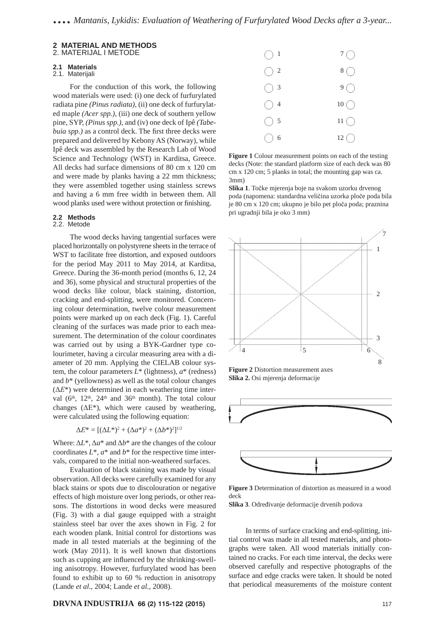#### **2 MATERIAL AND METHODS** 2. MATERIJAL I METODE

### **2.1 Materials**

## 2.1. Materijali

For the conduction of this work, the following wood materials were used: (i) one deck of furfurylated radiata pine *(Pinus radiata)*, (ii) one deck of furfurylated maple *(Acer spp.)*, (iii) one deck of southern yellow pine, SYP, *(Pinus spp.)*, and (iv) one deck of Ipê *(Tabebuia spp.)* as a control deck. The first three decks were prepared and delivered by Kebony AS (Norway), while Ipê deck was assembled by the Research Lab of Wood Science and Technology (WST) in Karditsa, Greece. All decks had surface dimensions of 80 cm x 120 cm and were made by planks having a 22 mm thickness; they were assembled together using stainless screws and having a 6 mm free width in between them. All wood planks used were without protection or finishing.

#### **2.2 Methods** 2.2. Metode

The wood decks having tangential surfaces were placed horizontally on polystyrene sheets in the terrace of WST to facilitate free distortion, and exposed outdoors for the period May 2011 to May 2014, at Karditsa, Greece. During the 36-month period (months 6, 12, 24 and 36), some physical and structural properties of the wood decks like colour, black staining, distortion, cracking and end-splitting, were monitored. Concerning colour determination, twelve colour measurement points were marked up on each deck (Fig. 1). Careful cleaning of the surfaces was made prior to each measurement. The determination of the colour coordinates was carried out by using a BYK-Gardner type colourimeter, having a circular measuring area with a diameter of 20 mm. Applying the CIELAB colour system, the colour parameters *L*\* (lightness), *a*\* (redness) and *b*\* (yellowness) as well as the total colour changes  $(\Delta E^*)$  were determined in each weathering time interval  $(6<sup>th</sup>, 12<sup>th</sup>, 24<sup>th</sup>$  and 36<sup>th</sup> month). The total colour changes ( $\Delta E^*$ ), which were caused by weathering, were calculated using the following equation:

$$
\Delta E^* = [(\Delta L^*)^2 + (\Delta a^*)^2 + (\Delta b^*)^2]^{1/2}
$$

Where:  $\Delta L^*$ ,  $\Delta a^*$  and  $\Delta b^*$  are the changes of the colour coordinates  $L^*$ ,  $a^*$  and  $b^*$  for the respective time intervals, compared to the initial non-weathered surfaces.

Evaluation of black staining was made by visual observation. All decks were carefully examined for any black stains or spots due to discolouration or negative effects of high moisture over long periods, or other reasons. The distortions in wood decks were measured (Fig. 3) with a dial gauge equipped with a straight stainless steel bar over the axes shown in Fig. 2 for each wooden plank. Initial control for distortions was made in all tested materials at the beginning of the work (May 2011). It is well known that distortions such as cupping are influenced by the shrinking-swelling anisotropy. However, furfurylated wood has been found to exhibit up to 60 % reduction in anisotropy (Lande *et al.*, 2004; Lande *et al.*, 2008).

#### **DRVNA INDUSTRIJA 66 (2) 115-122 (2015)** 117



**Figure 1** Colour measurement points on each of the testing decks (Note: the standard platform size of each deck was 80 cm x 120 cm; 5 planks in total; the mounting gap was ca. 3mm)

**Slika 1**. Točke mjerenja boje na svakom uzorku drvenog poda (napomena: standardna veličina uzorka ploče poda bila je 80 cm x 120 cm; ukupno je bilo pet ploča poda; praznina pri ugradnji bila je oko 3 mm)



**Figure 2** Distortion measurement axes **Slika 2.** Osi mjerenja deformacije



**Figure 3** Determination of distortion as measured in a wood deck

**Slika 3**. Određivanje deformacije drvenih podova

In terms of surface cracking and end-splitting, initial control was made in all tested materials, and photographs were taken. All wood materials initially contained no cracks. For each time interval, the decks were observed carefully and respective photographs of the surface and edge cracks were taken. It should be noted that periodical measurements of the moisture content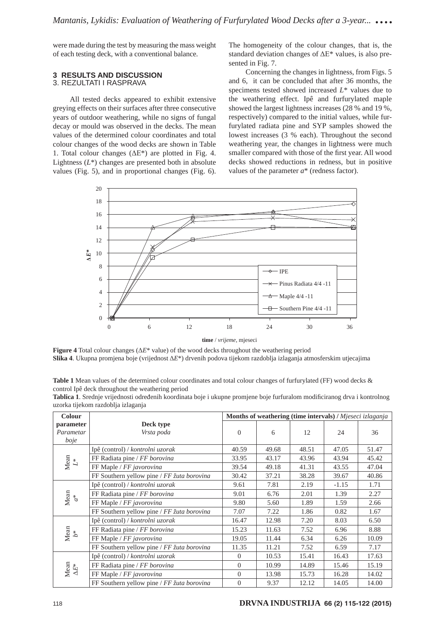were made during the test by measuring the mass weight of each testing deck, with a conventional balance.

#### **3 RESULTS AND DISCUSSION** 3. REZULTATI I RASPRAVA

All tested decks appeared to exhibit extensive greying effects on their surfaces after three consecutive years of outdoor weathering, while no signs of fungal decay or mould was observed in the decks. Τhe mean values of the determined colour coordinates and total colour changes of the wood decks are shown in Table 1. Total colour changes  $(\Delta E^*)$  are plotted in Fig. 4. Lightness  $(L^*)$  changes are presented both in absolute values (Fig. 5), and in proportional changes (Fig. 6).

The homogeneity of the colour changes, that is, the standard deviation changes of ΔΕ\* values, is also presented in Fig. 7.

Concerning the changes in lightness, from Figs. 5 and 6, it can be concluded that after 36 months, the specimens tested showed increased *L*\* values due to the weathering effect. Ipê and furfurylated maple showed the largest lightness increases (28 % and 19 %, respectively) compared to the initial values, while furfurylated radiata pine and SYP samples showed the lowest increases (3 % each). Throughout the second weathering year, the changes in lightness were much smaller compared with those of the first year. All wood decks showed reductions in redness, but in positive values of the parameter *a*\* (redness factor).



**time** / *vrijeme*, mjeseci

**Figure 4** Total colour changes (Δ*E*\* value) of the wood decks throughout the weathering period **Slika 4**. Ukupna promjena boje (vrijednost Δ*E*\*) drvenih podova tijekom razdoblja izlaganja atmosferskim utjecajima

**Table 1** Mean values of the determined colour coordinates and total colour changes of furfurylated (FF) wood decks & control Ipê deck throughout the weathering period

| Tablica 1. Srednje vrijednosti određenih koordinata boje i ukupne promjene boje furfuralom modificiranog drva i kontrolnog |  |  |
|----------------------------------------------------------------------------------------------------------------------------|--|--|
| uzorka tijekom razdoblja izlaganja                                                                                         |  |  |

| Colour            |                                                        | Months of weathering (time intervals) / Mjeseci izlaganja |       |       |         |       |
|-------------------|--------------------------------------------------------|-----------------------------------------------------------|-------|-------|---------|-------|
| parameter         | Deck type                                              |                                                           |       |       |         |       |
| Parametar         | Vrsta poda                                             | $\Omega$                                                  | 6     | 12    | 24      | 36    |
| boje              |                                                        |                                                           |       |       |         |       |
|                   | Ipê (control) / kontrolni uzorak                       | 40.59                                                     | 49.68 | 48.51 | 47.05   | 51.47 |
| Mean $L^\ast$     | FF Radiata pine / FF borovina                          | 33.95                                                     | 43.17 | 43.96 | 43.94   | 45.42 |
|                   | FF Maple / FF javorovina                               | 39.54                                                     | 49.18 | 41.31 | 43.55   | 47.04 |
|                   | FF Southern yellow pine / FF žuta borovina             | 30.42                                                     | 37.21 | 38.28 | 39.67   | 40.86 |
|                   | Ipê (control) / kontrolni uzorak                       | 9.61                                                      | 7.81  | 2.19  | $-1.15$ | 1.71  |
| Mean $a^*$        | FF Radiata pine / FF borovina                          | 9.01                                                      | 6.76  | 2.01  | 1.39    | 2.27  |
|                   | FF Maple / FF javorovina                               | 9.80                                                      | 5.60  | 1.89  | 1.59    | 2.66  |
|                   | FF Southern yellow pine / $FF \xi$ <i>uta borovina</i> | 7.07                                                      | 7.22  | 1.86  | 0.82    | 1.67  |
|                   | Ipê (control) / kontrolni uzorak                       | 16.47                                                     | 12.98 | 7.20  | 8.03    | 6.50  |
| Mean<br>$b^\ast$  | FF Radiata pine / FF borovina                          | 15.23                                                     | 11.63 | 7.52  | 6.96    | 8.88  |
|                   | FF Maple / FF javorovina                               | 19.05                                                     | 11.44 | 6.34  | 6.26    | 10.09 |
|                   | FF Southern yellow pine / $FF \xi$ <i>uta borovina</i> | 11.35                                                     | 11.21 | 7.52  | 6.59    | 7.17  |
|                   | Ipê (control) / kontrolni uzorak                       | $\Omega$                                                  | 10.53 | 15.41 | 16.43   | 17.63 |
| Mean $\Delta E^*$ | FF Radiata pine / FF borovina                          | $\Omega$                                                  | 10.99 | 14.89 | 15.46   | 15.19 |
|                   | FF Maple / FF javorovina                               | $\overline{0}$                                            | 13.98 | 15.73 | 16.28   | 14.02 |
|                   | FF Southern yellow pine / $FF \xi$ <i>uta borovina</i> | $\overline{0}$                                            | 9.37  | 12.12 | 14.05   | 14.00 |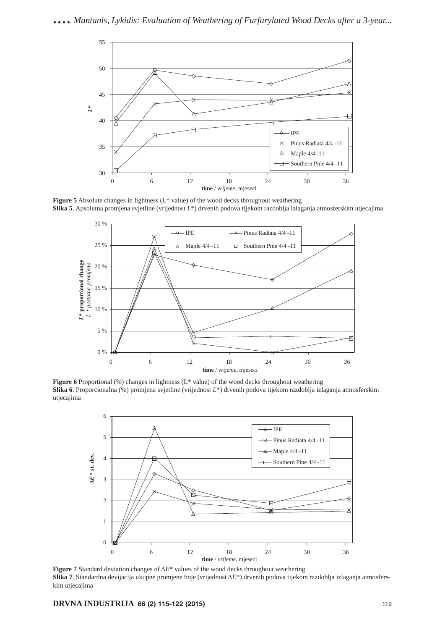

**Figure 5** Absolute changes in lightness (L\* value) of the wood decks throughout weathering **Slika 5**. Apsolutna promjena svjetline (vrijednost *L*\*) drvenih podova tijekom razdoblja izlaganja atmosferskim utjecajima



**Figure 6** Proportional (%) changes in lightness (L\* value) of the wood decks throughout weathering **Slika 6**. Proporcionalna (%) promjena svjetline (vrijednost *L*\*) drvenih podova tijekom razdoblja izlaganja atmosferskim utjecajima



**Figure 7** Standard deviation changes of Δ*E*\* values of the wood decks throughout weathering **Slika 7**. Standardna devijacija ukupne promjene boje (vrijednost Δ*E*\*) drvenih podova tijekom razdoblja izlaganja atmosferskim utjecajima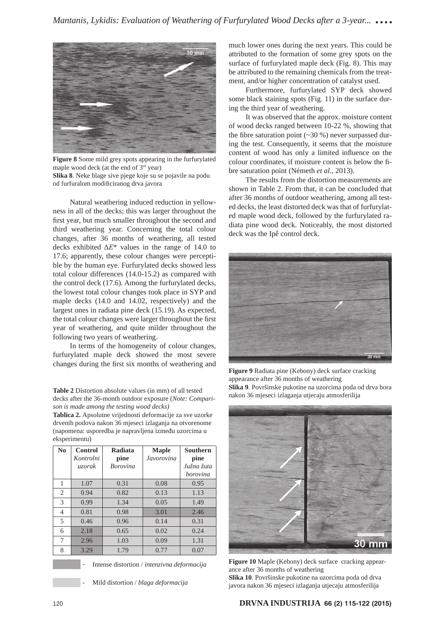

**Figure 8** Some mild grey spots appearing in the furfurylated maple wood deck (at the end of 3<sup>rd</sup> year) **Slika 8**. Neke blage sive pjege koje su se pojavile na podu od furfuralom modificiranog drva javora

Natural weathering induced reduction in yellowness in all of the decks; this was larger throughout the first year, but much smaller throughout the second and third weathering year. Concerning the total colour changes, after 36 months of weathering, all tested decks exhibited Δ*Ε*\* values in the range of 14.0 to 17.6; apparently, these colour changes were perceptible by the human eye. Furfurylated decks showed less total colour differences (14.0-15.2) as compared with the control deck (17.6). Among the furfurylated decks, the lowest total colour changes took place in SYP and maple decks (14.0 and 14.02, respectively) and the largest ones in radiata pine deck (15.19). As expected, the total colour changes were larger throughout the first year of weathering, and quite milder throughout the following two years of weathering.

In terms of the homogeneity of colour changes, furfurylated maple deck showed the most severe changes during the first six months of weathering and

**Table 2** Distortion absolute values (in mm) of all tested decks after the 36-month outdoor exposure (*Note: Comparison is made among the testing wood decks)*

**Tablica 2.** Apsolutne vrijednosti deformacije za sve uzorke drvenih podova nakon 36 mjeseci izlaganja na otvorenome (napomena: usporedba je napravljena između uzorcima u eksperimentu)

| $\mathbf{N}\mathbf{0}$ | Control<br>Kontrolni | Radiata<br>pine | <b>Maple</b><br>Javorovina | <b>Southern</b><br>pine |  |
|------------------------|----------------------|-----------------|----------------------------|-------------------------|--|
|                        | uzorak               | <b>Borovina</b> |                            | Južna žuta              |  |
|                        |                      |                 |                            |                         |  |
|                        |                      |                 |                            | borovina                |  |
| 1                      | 1.07                 | 0.31            | 0.08                       | 0.95                    |  |
| 2                      | 0.94                 | 0.82            | 0.13                       | 1.13                    |  |
| 3                      | 0.99                 | 1.34            | 0.05                       | 1.49                    |  |
| $\overline{4}$         | 0.81                 | 0.98            | 3.01                       | 2.46                    |  |
| 5                      | 0.46                 | 0.96            | 0.14                       | 0.31                    |  |
| 6                      | 2.18                 | 0.65            | 0.02                       | 0.24                    |  |
| 7                      | 2.96                 | 1.03            | 0.09                       | 1.31                    |  |
| 8                      | 3.29                 | 1.79            | 0.77                       | 0.07                    |  |



- Intense distortion / *intenzivna deformacija*

- Mild distortion / *blaga deformacija*

much lower ones during the next years. This could be attributed to the formation of some grey spots on the surface of furfurylated maple deck (Fig. 8). This may be attributed to the remaining chemicals from the treatment, and/or higher concentration of catalyst used.

Furthermore, furfurylated SYP deck showed some black staining spots (Fig. 11) in the surface during the third year of weathering.

It was observed that the approx. moisture content of wood decks ranged between 10-22 %, showing that the fibre saturation point  $(\sim 30 \%)$  never surpassed during the test. Consequently, it seems that the moisture content of wood has only a limited influence on the colour coordinates, if moisture content is below the fibre saturation point (Németh *et al.*, 2013).

The results from the distortion measurements are shown in Table 2. From that, it can be concluded that after 36 months of outdoor weathering, among all tested decks, the least distorted deck was that of furfurylated maple wood deck, followed by the furfurylated radiata pine wood deck. Noticeably, the most distorted deck was the Ipê control deck.



**Figure 9** Radiata pine (Kebony) deck surface cracking appearance after 36 months of weathering **Slika 9**. Površinske pukotine na uzorcima poda od drva bora nakon 36 mjeseci izlaganja utjecaju atmosferilija



**Figure 10** Maple (Kebony) deck surface cracking appearance after 36 months of weathering

**Slika 10**. Površinske pukotine na uzorcima poda od drva javora nakon 36 mjeseci izlaganja utjecaju atmosferilija

### 120 **DRVNA INDUSTRIJA 66 (2) 115-122 (2015)**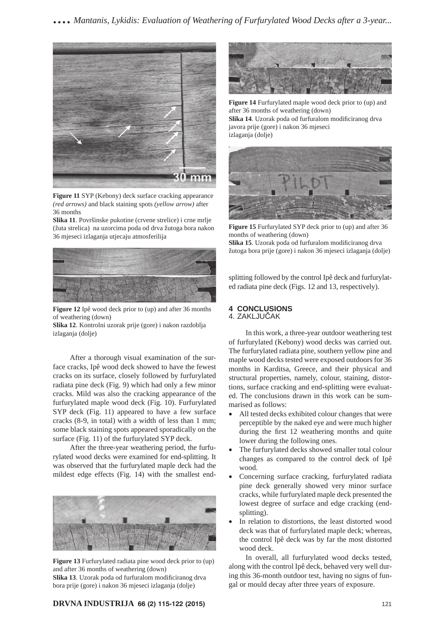

**Figure 11** SYP (Kebony) deck surface cracking appearance *(red arrows)* and black staining spots *(yellow arrow)* after 36 months

**Slika 11**. Površinske pukotine (crvene strelice) i crne mrlje (žuta strelica) na uzorcima poda od drva žutoga bora nakon 36 mjeseci izlaganja utjecaju atmosferilija



**Figure 12** Ipê wood deck prior to (up) and after 36 months of weathering (down)

**Slika 12**. Kontrolni uzorak prije (gore) i nakon razdoblja izlaganja (dolje)

After a thorough visual examination of the surface cracks, Ipê wood deck showed to have the fewest cracks on its surface, closely followed by furfurylated radiata pine deck (Fig. 9) which had only a few minor cracks. Mild was also the cracking appearance of the furfurylated maple wood deck (Fig. 10). Furfurylated SYP deck (Fig. 11) appeared to have a few surface cracks (8-9, in total) with a width of less than 1 mm; some black staining spots appeared sporadically on the surface (Fig. 11) of the furfurylated SYP deck.

After the three-year weathering period, the furfurylated wood decks were examined for end-splitting. It was observed that the furfurylated maple deck had the mildest edge effects (Fig. 14) with the smallest end-



**Figure 13** Furfurylated radiata pine wood deck prior to (up) and after 36 months of weathering (down) Slika 13. Uzorak poda od furfuralom modificiranog drva

bora prije (gore) i nakon 36 mjeseci izlaganja (dolje)



**Figure 14** Furfurylated maple wood deck prior to (up) and after 36 months of weathering (down) Slika 14. Uzorak poda od furfuralom modificiranog drva javora prije (gore) i nakon 36 mjeseci izlaganja (dolje)



**Figure 15** Furfurylated SYP deck prior to (up) and after 36 months of weathering (down)

Slika 15. Uzorak poda od furfuralom modificiranog drva žutoga bora prije (gore) i nakon 36 mjeseci izlaganja (dolje)

splitting followed by the control Ipê deck and furfurylated radiata pine deck (Figs. 12 and 13, respectively).

#### **4 CONCLUSIONS** 4. ZAKLJUČAK

In this work, a three-year outdoor weathering test of furfurylated (Kebony) wood decks was carried out. The furfurylated radiata pine, southern yellow pine and maple wood decks tested were exposed outdoors for 36 months in Karditsa, Greece, and their physical and structural properties, namely, colour, staining, distortions, surface cracking and end-splitting were evaluated. The conclusions drawn in this work can be summarised as follows:

- All tested decks exhibited colour changes that were perceptible by the naked eye and were much higher during the first 12 weathering months and quite lower during the following ones.
- The furfurylated decks showed smaller total colour changes as compared to the control deck of Ipê wood.
- Concerning surface cracking, furfurylated radiata pine deck generally showed very minor surface cracks, while furfurylated maple deck presented the lowest degree of surface and edge cracking (endsplitting).
- In relation to distortions, the least distorted wood deck was that of furfurylated maple deck; whereas, the control Ipê deck was by far the most distorted wood deck.

In overall, all furfurylated wood decks tested, along with the control Ipê deck, behaved very well during this 36-month outdoor test, having no signs of fungal or mould decay after three years of exposure.

#### **DRVNA INDUSTRIJA 66 (2) 115-122 (2015)** 121